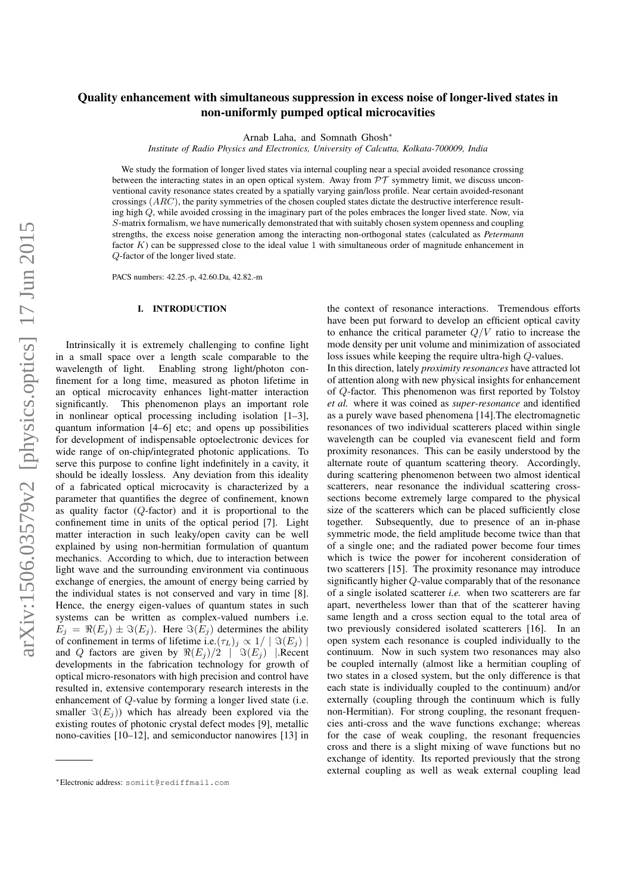# Quality enhancement with simultaneous suppression in excess noise of longer-lived states in non-uniformly pumped optical microcavities

Arnab Laha, and Somnath Ghosh∗

*Institute of Radio Physics and Electronics, University of Calcutta, Kolkata-700009, India*

We study the formation of longer lived states via internal coupling near a special avoided resonance crossing between the interacting states in an open optical system. Away from  $\mathcal{PT}$  symmetry limit, we discuss unconventional cavity resonance states created by a spatially varying gain/loss profile. Near certain avoided-resonant crossings  $(ARC)$ , the parity symmetries of the chosen coupled states dictate the destructive interference resulting high Q, while avoided crossing in the imaginary part of the poles embraces the longer lived state. Now, via S-matrix formalism, we have numerically demonstrated that with suitably chosen system openness and coupling strengths, the excess noise generation among the interacting non-orthogonal states (calculated as *Petermann* factor  $K$ ) can be suppressed close to the ideal value 1 with simultaneous order of magnitude enhancement in Q-factor of the longer lived state.

PACS numbers: 42.25.-p, 42.60.Da, 42.82.-m

#### I. INTRODUCTION

Intrinsically it is extremely challenging to confine light in a small space over a length scale comparable to the wavelength of light. Enabling strong light/photon confinement for a long time, measured as photon lifetime in an optical microcavity enhances light-matter interaction significantly. This phenomenon plays an important role in nonlinear optical processing including isolation [1–3], quantum information [4–6] etc; and opens up possibilities for development of indispensable optoelectronic devices for wide range of on-chip/integrated photonic applications. To serve this purpose to confine light indefinitely in a cavity, it should be ideally lossless. Any deviation from this ideality of a fabricated optical microcavity is characterized by a parameter that quantifies the degree of confinement, known as quality factor  $(Q$ -factor) and it is proportional to the confinement time in units of the optical period [7]. Light matter interaction in such leaky/open cavity can be well explained by using non-hermitian formulation of quantum mechanics. According to which, due to interaction between light wave and the surrounding environment via continuous exchange of energies, the amount of energy being carried by the individual states is not conserved and vary in time [8]. Hence, the energy eigen-values of quantum states in such systems can be written as complex-valued numbers i.e.  $E_j = \Re(E_j) \pm \Im(E_j)$ . Here  $\Im(E_j)$  determines the ability of confinement in terms of lifetime i.e. $(\tau_L)_j \propto 1/|\Im(E_j)|$ and Q factors are given by  $\Re(E_i)/2$  |  $\Im(E_i)$  | Recent developments in the fabrication technology for growth of optical micro-resonators with high precision and control have resulted in, extensive contemporary research interests in the enhancement of Q-value by forming a longer lived state (i.e. smaller  $\Im(E_i)$ ) which has already been explored via the existing routes of photonic crystal defect modes [9], metallic nono-cavities [10–12], and semiconductor nanowires [13] in the context of resonance interactions. Tremendous efforts have been put forward to develop an efficient optical cavity to enhance the critical parameter  $Q/V$  ratio to increase the mode density per unit volume and minimization of associated loss issues while keeping the require ultra-high Q-values. In this direction, lately *proximity resonances* have attracted lot of attention along with new physical insights for enhancement of Q-factor. This phenomenon was first reported by Tolstoy *et al.* where it was coined as *super-resonance* and identified as a purely wave based phenomena [14].The electromagnetic resonances of two individual scatterers placed within single wavelength can be coupled via evanescent field and form proximity resonances. This can be easily understood by the alternate route of quantum scattering theory. Accordingly, during scattering phenomenon between two almost identical scatterers, near resonance the individual scattering crosssections become extremely large compared to the physical size of the scatterers which can be placed sufficiently close together. Subsequently, due to presence of an in-phase symmetric mode, the field amplitude become twice than that of a single one; and the radiated power become four times which is twice the power for incoherent consideration of two scatterers [15]. The proximity resonance may introduce significantly higher Q-value comparably that of the resonance of a single isolated scatterer *i.e.* when two scatterers are far apart, nevertheless lower than that of the scatterer having same length and a cross section equal to the total area of two previously considered isolated scatterers [16]. In an open system each resonance is coupled individually to the continuum. Now in such system two resonances may also be coupled internally (almost like a hermitian coupling of two states in a closed system, but the only difference is that each state is individually coupled to the continuum) and/or externally (coupling through the continuum which is fully non-Hermitian). For strong coupling, the resonant frequencies anti-cross and the wave functions exchange; whereas for the case of weak coupling, the resonant frequencies cross and there is a slight mixing of wave functions but no exchange of identity. Its reported previously that the strong external coupling as well as weak external coupling lead

<sup>∗</sup>Electronic address: somiit@rediffmail.com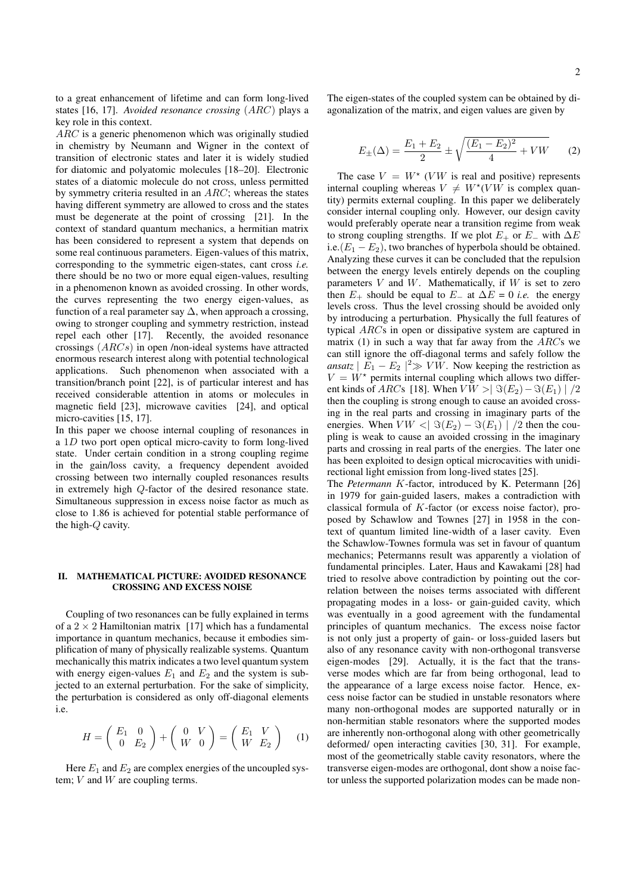to a great enhancement of lifetime and can form long-lived states [16, 17]. *Avoided resonance crossing* (ARC) plays a key role in this context.

ARC is a generic phenomenon which was originally studied in chemistry by Neumann and Wigner in the context of transition of electronic states and later it is widely studied for diatomic and polyatomic molecules [18–20]. Electronic states of a diatomic molecule do not cross, unless permitted by symmetry criteria resulted in an  $ARC$ ; whereas the states having different symmetry are allowed to cross and the states must be degenerate at the point of crossing [21]. In the context of standard quantum mechanics, a hermitian matrix has been considered to represent a system that depends on some real continuous parameters. Eigen-values of this matrix, corresponding to the symmetric eigen-states, cant cross *i.e.* there should be no two or more equal eigen-values, resulting in a phenomenon known as avoided crossing. In other words, the curves representing the two energy eigen-values, as function of a real parameter say  $\Delta$ , when approach a crossing, owing to stronger coupling and symmetry restriction, instead repel each other [17]. Recently, the avoided resonance crossings (ARCs) in open /non-ideal systems have attracted enormous research interest along with potential technological applications. Such phenomenon when associated with a transition/branch point [22], is of particular interest and has received considerable attention in atoms or molecules in magnetic field [23], microwave cavities [24], and optical micro-cavities [15, 17].

In this paper we choose internal coupling of resonances in a 1D two port open optical micro-cavity to form long-lived state. Under certain condition in a strong coupling regime in the gain/loss cavity, a frequency dependent avoided crossing between two internally coupled resonances results in extremely high Q-factor of the desired resonance state. Simultaneous suppression in excess noise factor as much as close to 1.86 is achieved for potential stable performance of the high-Q cavity.

## II. MATHEMATICAL PICTURE: AVOIDED RESONANCE CROSSING AND EXCESS NOISE

Coupling of two resonances can be fully explained in terms of a  $2 \times 2$  Hamiltonian matrix [17] which has a fundamental importance in quantum mechanics, because it embodies simplification of many of physically realizable systems. Quantum mechanically this matrix indicates a two level quantum system with energy eigen-values  $E_1$  and  $E_2$  and the system is subjected to an external perturbation. For the sake of simplicity, the perturbation is considered as only off-diagonal elements i.e.

$$
H = \begin{pmatrix} E_1 & 0 \\ 0 & E_2 \end{pmatrix} + \begin{pmatrix} 0 & V \\ W & 0 \end{pmatrix} = \begin{pmatrix} E_1 & V \\ W & E_2 \end{pmatrix} \tag{1}
$$

Here  $E_1$  and  $E_2$  are complex energies of the uncoupled system;  $V$  and  $W$  are coupling terms.

The eigen-states of the coupled system can be obtained by diagonalization of the matrix, and eigen values are given by

$$
E_{\pm}(\Delta) = \frac{E_1 + E_2}{2} \pm \sqrt{\frac{(E_1 - E_2)^2}{4} + VW} \tag{2}
$$

The case  $V = W^*$  (*VW* is real and positive) represents internal coupling whereas  $V \neq W^*(V W)$  is complex quantity) permits external coupling. In this paper we deliberately consider internal coupling only. However, our design cavity would preferably operate near a transition regime from weak to strong coupling strengths. If we plot  $E_+$  or  $E_-$  with  $\Delta E$ i.e. $(E_1 - E_2)$ , two branches of hyperbola should be obtained. Analyzing these curves it can be concluded that the repulsion between the energy levels entirely depends on the coupling parameters  $V$  and  $W$ . Mathematically, if  $W$  is set to zero then  $E_{+}$  should be equal to  $E_{-}$  at  $\Delta E = 0$  *i.e.* the energy levels cross. Thus the level crossing should be avoided only by introducing a perturbation. Physically the full features of typical ARCs in open or dissipative system are captured in matrix (1) in such a way that far away from the  $ARCs$  we can still ignore the off-diagonal terms and safely follow the *ansatz*  $|E_1 - E_2|^2 \gg VW$ . Now keeping the restriction as  $V = W^*$  permits internal coupling which allows two different kinds of ARCs [18]. When  $V W > |\Im(E_2) - \Im(E_1)| / 2$ then the coupling is strong enough to cause an avoided crossing in the real parts and crossing in imaginary parts of the energies. When  $V W < |\Im(E_2) - \Im(E_1)| / 2$  then the coupling is weak to cause an avoided crossing in the imaginary parts and crossing in real parts of the energies. The later one has been exploited to design optical microcavities with unidirectional light emission from long-lived states [25].

The *Petermann* K-factor, introduced by K. Petermann [26] in 1979 for gain-guided lasers, makes a contradiction with classical formula of K-factor (or excess noise factor), proposed by Schawlow and Townes [27] in 1958 in the context of quantum limited line-width of a laser cavity. Even the Schawlow-Townes formula was set in favour of quantum mechanics; Petermanns result was apparently a violation of fundamental principles. Later, Haus and Kawakami [28] had tried to resolve above contradiction by pointing out the correlation between the noises terms associated with different propagating modes in a loss- or gain-guided cavity, which was eventually in a good agreement with the fundamental principles of quantum mechanics. The excess noise factor is not only just a property of gain- or loss-guided lasers but also of any resonance cavity with non-orthogonal transverse eigen-modes [29]. Actually, it is the fact that the transverse modes which are far from being orthogonal, lead to the appearance of a large excess noise factor. Hence, excess noise factor can be studied in unstable resonators where many non-orthogonal modes are supported naturally or in non-hermitian stable resonators where the supported modes are inherently non-orthogonal along with other geometrically deformed/ open interacting cavities [30, 31]. For example, most of the geometrically stable cavity resonators, where the transverse eigen-modes are orthogonal, dont show a noise factor unless the supported polarization modes can be made non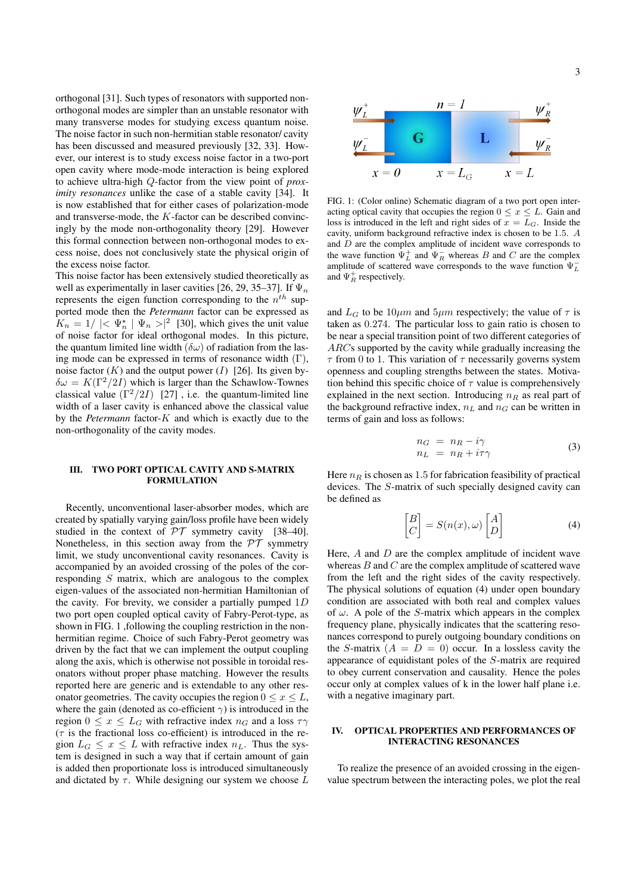orthogonal [31]. Such types of resonators with supported nonorthogonal modes are simpler than an unstable resonator with many transverse modes for studying excess quantum noise. The noise factor in such non-hermitian stable resonator/ cavity has been discussed and measured previously [32, 33]. However, our interest is to study excess noise factor in a two-port open cavity where mode-mode interaction is being explored to achieve ultra-high Q-factor from the view point of *proximity resonances* unlike the case of a stable cavity [34]. It is now established that for either cases of polarization-mode and transverse-mode, the K-factor can be described convincingly by the mode non-orthogonality theory [29]. However this formal connection between non-orthogonal modes to excess noise, does not conclusively state the physical origin of the excess noise factor.

This noise factor has been extensively studied theoretically as well as experimentally in laser cavities [26, 29, 35–37]. If  $\Psi_n$ represents the eigen function corresponding to the  $n^{th}$  supported mode then the *Petermann* factor can be expressed as  $K_n = 1/ \mid < \Psi_n^* \mid \Psi_n > \mid^2$  [30], which gives the unit value of noise factor for ideal orthogonal modes. In this picture, the quantum limited line width ( $\delta\omega$ ) of radiation from the lasing mode can be expressed in terms of resonance width  $(Γ)$ , noise factor  $(K)$  and the output power  $(I)$  [26]. Its given by- $\delta \omega = K(\Gamma^2/2I)$  which is larger than the Schawlow-Townes classical value  $(\Gamma^2/2I)$  [27], i.e. the quantum-limited line width of a laser cavity is enhanced above the classical value by the *Petermann* factor-K and which is exactly due to the non-orthogonality of the cavity modes.

### III. TWO PORT OPTICAL CAVITY AND S-MATRIX FORMULATION

Recently, unconventional laser-absorber modes, which are created by spatially varying gain/loss profile have been widely studied in the context of  $PT$  symmetry cavity [38–40]. Nonetheless, in this section away from the  $\mathcal{PT}$  symmetry limit, we study unconventional cavity resonances. Cavity is accompanied by an avoided crossing of the poles of the corresponding S matrix, which are analogous to the complex eigen-values of the associated non-hermitian Hamiltonian of the cavity. For brevity, we consider a partially pumped  $1D$ two port open coupled optical cavity of Fabry-Perot-type, as shown in FIG. 1 ,following the coupling restriction in the nonhermitian regime. Choice of such Fabry-Perot geometry was driven by the fact that we can implement the output coupling along the axis, which is otherwise not possible in toroidal resonators without proper phase matching. However the results reported here are generic and is extendable to any other resonator geometries. The cavity occupies the region  $0 \le x \le L$ , where the gain (denoted as co-efficient  $\gamma$ ) is introduced in the region  $0 \le x \le L_G$  with refractive index  $n_G$  and a loss  $\tau \gamma$  $(\tau)$  is the fractional loss co-efficient) is introduced in the region  $L_G \leq x \leq L$  with refractive index  $n_L$ . Thus the system is designed in such a way that if certain amount of gain is added then proportionate loss is introduced simultaneously and dictated by  $\tau$ . While designing our system we choose L 3



FIG. 1: (Color online) Schematic diagram of a two port open interacting optical cavity that occupies the region  $0 \le x \le L$ . Gain and loss is introduced in the left and right sides of  $x = L_G$ . Inside the cavity, uniform background refractive index is chosen to be 1.5. A and D are the complex amplitude of incident wave corresponds to the wave function  $\Psi_L^+$  and  $\Psi_R^-$  whereas B and C are the complex amplitude of scattered wave corresponds to the wave function  $\Psi_L^$ and  $\Psi_R^+$  respectively.

and  $L_G$  to be  $10 \mu m$  and  $5 \mu m$  respectively; the value of  $\tau$  is taken as 0.274. The particular loss to gain ratio is chosen to be near a special transition point of two different categories of ARCs supported by the cavity while gradually increasing the  $\tau$  from 0 to 1. This variation of  $\tau$  necessarily governs system openness and coupling strengths between the states. Motivation behind this specific choice of  $\tau$  value is comprehensively explained in the next section. Introducing  $n_R$  as real part of the background refractive index,  $n<sub>L</sub>$  and  $n<sub>G</sub>$  can be written in terms of gain and loss as follows:

$$
n_G = n_R - i\gamma \n n_L = n_R + i\tau\gamma
$$
\n(3)

Here  $n_R$  is chosen as 1.5 for fabrication feasibility of practical devices. The S-matrix of such specially designed cavity can be defined as

$$
\begin{bmatrix} B \\ C \end{bmatrix} = S(n(x), \omega) \begin{bmatrix} A \\ D \end{bmatrix}
$$
 (4)

Here,  $A$  and  $D$  are the complex amplitude of incident wave whereas  $B$  and  $C$  are the complex amplitude of scattered wave from the left and the right sides of the cavity respectively. The physical solutions of equation (4) under open boundary condition are associated with both real and complex values of  $\omega$ . A pole of the S-matrix which appears in the complex frequency plane, physically indicates that the scattering resonances correspond to purely outgoing boundary conditions on the S-matrix  $(A = D = 0)$  occur. In a lossless cavity the appearance of equidistant poles of the S-matrix are required to obey current conservation and causality. Hence the poles occur only at complex values of k in the lower half plane i.e. with a negative imaginary part.

# IV. OPTICAL PROPERTIES AND PERFORMANCES OF INTERACTING RESONANCES

To realize the presence of an avoided crossing in the eigenvalue spectrum between the interacting poles, we plot the real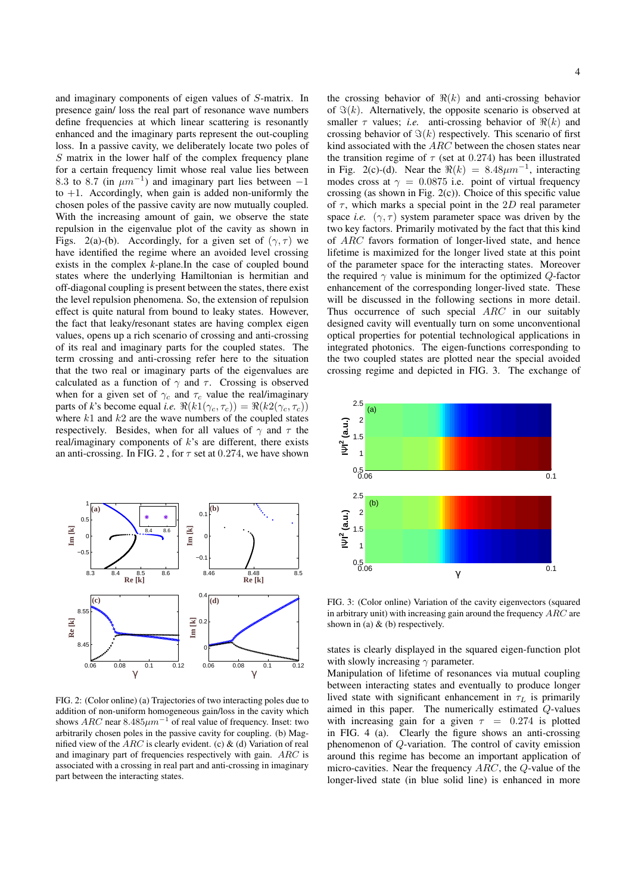and imaginary components of eigen values of S-matrix. In presence gain/ loss the real part of resonance wave numbers define frequencies at which linear scattering is resonantly enhanced and the imaginary parts represent the out-coupling loss. In a passive cavity, we deliberately locate two poles of  $S$  matrix in the lower half of the complex frequency plane for a certain frequency limit whose real value lies between 8.3 to 8.7 (in  $\mu m^{-1}$ ) and imaginary part lies between -1 to  $+1$ . Accordingly, when gain is added non-uniformly the chosen poles of the passive cavity are now mutually coupled. With the increasing amount of gain, we observe the state repulsion in the eigenvalue plot of the cavity as shown in Figs. 2(a)-(b). Accordingly, for a given set of  $(\gamma, \tau)$  we have identified the regime where an avoided level crossing exists in the complex *k*-plane.In the case of coupled bound states where the underlying Hamiltonian is hermitian and off-diagonal coupling is present between the states, there exist the level repulsion phenomena. So, the extension of repulsion effect is quite natural from bound to leaky states. However, the fact that leaky/resonant states are having complex eigen values, opens up a rich scenario of crossing and anti-crossing of its real and imaginary parts for the coupled states. The term crossing and anti-crossing refer here to the situation that the two real or imaginary parts of the eigenvalues are calculated as a function of  $\gamma$  and  $\tau$ . Crossing is observed when for a given set of  $\gamma_c$  and  $\tau_c$  value the real/imaginary parts of *k*'s become equal *i.e.*  $\Re(k1(\gamma_c, \tau_c)) = \Re(k2(\gamma_c, \tau_c))$ where  $k1$  and  $k2$  are the wave numbers of the coupled states respectively. Besides, when for all values of  $\gamma$  and  $\tau$  the real/imaginary components of  $k$ 's are different, there exists an anti-crossing. In FIG. 2, for  $\tau$  set at 0.274, we have shown



FIG. 2: (Color online) (a) Trajectories of two interacting poles due to addition of non-uniform homogeneous gain/loss in the cavity which shows  $ARC$  near  $8.485 \mu m^{-1}$  of real value of frequency. Inset: two arbitrarily chosen poles in the passive cavity for coupling. (b) Magnified view of the  $ARC$  is clearly evident. (c) & (d) Variation of real and imaginary part of frequencies respectively with gain. ARC is associated with a crossing in real part and anti-crossing in imaginary part between the interacting states.

the crossing behavior of  $\Re(k)$  and anti-crossing behavior of  $\Im(k)$ . Alternatively, the opposite scenario is observed at smaller  $\tau$  values; *i.e.* anti-crossing behavior of  $\Re(k)$  and crossing behavior of  $\Im(k)$  respectively. This scenario of first kind associated with the ARC between the chosen states near the transition regime of  $\tau$  (set at 0.274) has been illustrated in Fig. 2(c)-(d). Near the  $\Re(k) = 8.48 \mu m^{-1}$ , interacting modes cross at  $\gamma = 0.0875$  i.e. point of virtual frequency crossing (as shown in Fig.  $2(c)$ ). Choice of this specific value of  $\tau$ , which marks a special point in the 2D real parameter space *i.e.* ( $\gamma$ ,  $\tau$ ) system parameter space was driven by the two key factors. Primarily motivated by the fact that this kind of ARC favors formation of longer-lived state, and hence lifetime is maximized for the longer lived state at this point of the parameter space for the interacting states. Moreover the required  $\gamma$  value is minimum for the optimized Q-factor enhancement of the corresponding longer-lived state. These will be discussed in the following sections in more detail. Thus occurrence of such special ARC in our suitably designed cavity will eventually turn on some unconventional optical properties for potential technological applications in integrated photonics. The eigen-functions corresponding to the two coupled states are plotted near the special avoided crossing regime and depicted in FIG. 3. The exchange of



FIG. 3: (Color online) Variation of the cavity eigenvectors (squared in arbitrary unit) with increasing gain around the frequency  $ARC$  are shown in (a) & (b) respectively.

states is clearly displayed in the squared eigen-function plot with slowly increasing  $\gamma$  parameter.

Manipulation of lifetime of resonances via mutual coupling between interacting states and eventually to produce longer lived state with significant enhancement in  $\tau_L$  is primarily aimed in this paper. The numerically estimated Q-values with increasing gain for a given  $\tau = 0.274$  is plotted in FIG. 4 (a). Clearly the figure shows an anti-crossing phenomenon of Q-variation. The control of cavity emission around this regime has become an important application of micro-cavities. Near the frequency ARC, the Q-value of the longer-lived state (in blue solid line) is enhanced in more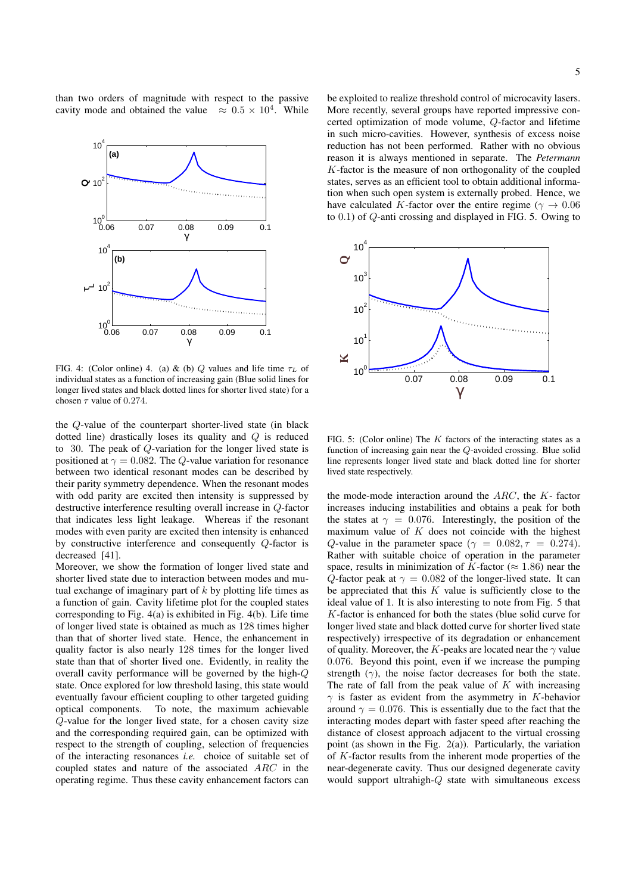than two orders of magnitude with respect to the passive cavity mode and obtained the value  $\approx 0.5 \times 10^4$ . While



FIG. 4: (Color online) 4. (a) & (b) Q values and life time  $\tau_L$  of individual states as a function of increasing gain (Blue solid lines for longer lived states and black dotted lines for shorter lived state) for a chosen  $\tau$  value of 0.274.

the Q-value of the counterpart shorter-lived state (in black dotted line) drastically loses its quality and Q is reduced to 30. The peak of Q-variation for the longer lived state is positioned at  $\gamma = 0.082$ . The Q-value variation for resonance between two identical resonant modes can be described by their parity symmetry dependence. When the resonant modes with odd parity are excited then intensity is suppressed by destructive interference resulting overall increase in Q-factor that indicates less light leakage. Whereas if the resonant modes with even parity are excited then intensity is enhanced by constructive interference and consequently Q-factor is decreased [41].

Moreover, we show the formation of longer lived state and shorter lived state due to interaction between modes and mutual exchange of imaginary part of  $k$  by plotting life times as a function of gain. Cavity lifetime plot for the coupled states corresponding to Fig. 4(a) is exhibited in Fig. 4(b). Life time of longer lived state is obtained as much as 128 times higher than that of shorter lived state. Hence, the enhancement in quality factor is also nearly 128 times for the longer lived state than that of shorter lived one. Evidently, in reality the overall cavity performance will be governed by the high-Q state. Once explored for low threshold lasing, this state would eventually favour efficient coupling to other targeted guiding optical components. To note, the maximum achievable Q-value for the longer lived state, for a chosen cavity size and the corresponding required gain, can be optimized with respect to the strength of coupling, selection of frequencies of the interacting resonances *i.e.* choice of suitable set of coupled states and nature of the associated ARC in the operating regime. Thus these cavity enhancement factors can

5

be exploited to realize threshold control of microcavity lasers. More recently, several groups have reported impressive concerted optimization of mode volume, Q-factor and lifetime in such micro-cavities. However, synthesis of excess noise reduction has not been performed. Rather with no obvious reason it is always mentioned in separate. The *Petermann* K-factor is the measure of non orthogonality of the coupled states, serves as an efficient tool to obtain additional information when such open system is externally probed. Hence, we have calculated K-factor over the entire regime ( $\gamma \rightarrow 0.06$ to 0.1) of Q-anti crossing and displayed in FIG. 5. Owing to



FIG. 5: (Color online) The  $K$  factors of the interacting states as a function of increasing gain near the Q-avoided crossing. Blue solid line represents longer lived state and black dotted line for shorter lived state respectively.

the mode-mode interaction around the  $ARC$ , the  $K$ - factor increases inducing instabilities and obtains a peak for both the states at  $\gamma = 0.076$ . Interestingly, the position of the maximum value of  $K$  does not coincide with the highest Q-value in the parameter space ( $\gamma = 0.082, \tau = 0.274$ ). Rather with suitable choice of operation in the parameter space, results in minimization of K-factor ( $\approx 1.86$ ) near the Q-factor peak at  $\gamma = 0.082$  of the longer-lived state. It can be appreciated that this  $K$  value is sufficiently close to the ideal value of 1. It is also interesting to note from Fig. 5 that K-factor is enhanced for both the states (blue solid curve for longer lived state and black dotted curve for shorter lived state respectively) irrespective of its degradation or enhancement of quality. Moreover, the K-peaks are located near the  $\gamma$  value 0.076. Beyond this point, even if we increase the pumping strength  $(\gamma)$ , the noise factor decreases for both the state. The rate of fall from the peak value of  $K$  with increasing  $\gamma$  is faster as evident from the asymmetry in K-behavior around  $\gamma = 0.076$ . This is essentially due to the fact that the interacting modes depart with faster speed after reaching the distance of closest approach adjacent to the virtual crossing point (as shown in the Fig.  $2(a)$ ). Particularly, the variation of K-factor results from the inherent mode properties of the near-degenerate cavity. Thus our designed degenerate cavity would support ultrahigh-Q state with simultaneous excess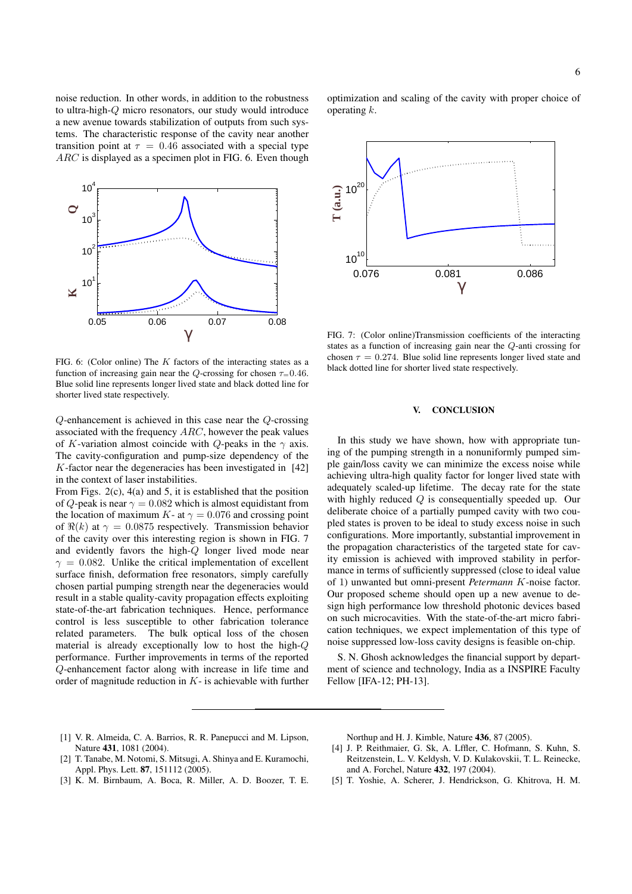noise reduction. In other words, in addition to the robustness to ultra-high-Q micro resonators, our study would introduce a new avenue towards stabilization of outputs from such systems. The characteristic response of the cavity near another transition point at  $\tau = 0.46$  associated with a special type ARC is displayed as a specimen plot in FIG. 6. Even though



FIG. 6: (Color online) The  $K$  factors of the interacting states as a function of increasing gain near the Q-crossing for chosen  $\tau=0.46$ . Blue solid line represents longer lived state and black dotted line for shorter lived state respectively.

Q-enhancement is achieved in this case near the Q-crossing associated with the frequency ARC, however the peak values of K-variation almost coincide with Q-peaks in the  $\gamma$  axis. The cavity-configuration and pump-size dependency of the K-factor near the degeneracies has been investigated in [42] in the context of laser instabilities.

From Figs. 2(c), 4(a) and 5, it is established that the position of Q-peak is near  $\gamma = 0.082$  which is almost equidistant from the location of maximum K- at  $\gamma = 0.076$  and crossing point of  $\Re(k)$  at  $\gamma = 0.0875$  respectively. Transmission behavior of the cavity over this interesting region is shown in FIG. 7 and evidently favors the high-Q longer lived mode near  $\gamma = 0.082$ . Unlike the critical implementation of excellent surface finish, deformation free resonators, simply carefully chosen partial pumping strength near the degeneracies would result in a stable quality-cavity propagation effects exploiting state-of-the-art fabrication techniques. Hence, performance control is less susceptible to other fabrication tolerance related parameters. The bulk optical loss of the chosen material is already exceptionally low to host the high-Q performance. Further improvements in terms of the reported Q-enhancement factor along with increase in life time and order of magnitude reduction in  $K$ - is achievable with further optimization and scaling of the cavity with proper choice of operating  $k$ .



FIG. 7: (Color online)Transmission coefficients of the interacting states as a function of increasing gain near the Q-anti crossing for chosen  $\tau = 0.274$ . Blue solid line represents longer lived state and black dotted line for shorter lived state respectively.

#### V. CONCLUSION

In this study we have shown, how with appropriate tuning of the pumping strength in a nonuniformly pumped simple gain/loss cavity we can minimize the excess noise while achieving ultra-high quality factor for longer lived state with adequately scaled-up lifetime. The decay rate for the state with highly reduced  $Q$  is consequentially speeded up. Our deliberate choice of a partially pumped cavity with two coupled states is proven to be ideal to study excess noise in such configurations. More importantly, substantial improvement in the propagation characteristics of the targeted state for cavity emission is achieved with improved stability in performance in terms of sufficiently suppressed (close to ideal value of 1) unwanted but omni-present *Petermann* K-noise factor. Our proposed scheme should open up a new avenue to design high performance low threshold photonic devices based on such microcavities. With the state-of-the-art micro fabrication techniques, we expect implementation of this type of noise suppressed low-loss cavity designs is feasible on-chip.

S. N. Ghosh acknowledges the financial support by department of science and technology, India as a INSPIRE Faculty Fellow [IFA-12; PH-13].

- [1] V. R. Almeida, C. A. Barrios, R. R. Panepucci and M. Lipson, Nature 431, 1081 (2004).
- [2] T. Tanabe, M. Notomi, S. Mitsugi, A. Shinya and E. Kuramochi, Appl. Phys. Lett. **87**, 151112 (2005).
- [3] K. M. Birnbaum, A. Boca, R. Miller, A. D. Boozer, T. E.

Northup and H. J. Kimble, Nature 436, 87 (2005).

- [4] J. P. Reithmaier, G. Sk, A. Lffler, C. Hofmann, S. Kuhn, S. Reitzenstein, L. V. Keldysh, V. D. Kulakovskii, T. L. Reinecke, and A. Forchel, Nature 432, 197 (2004).
- [5] T. Yoshie, A. Scherer, J. Hendrickson, G. Khitrova, H. M.